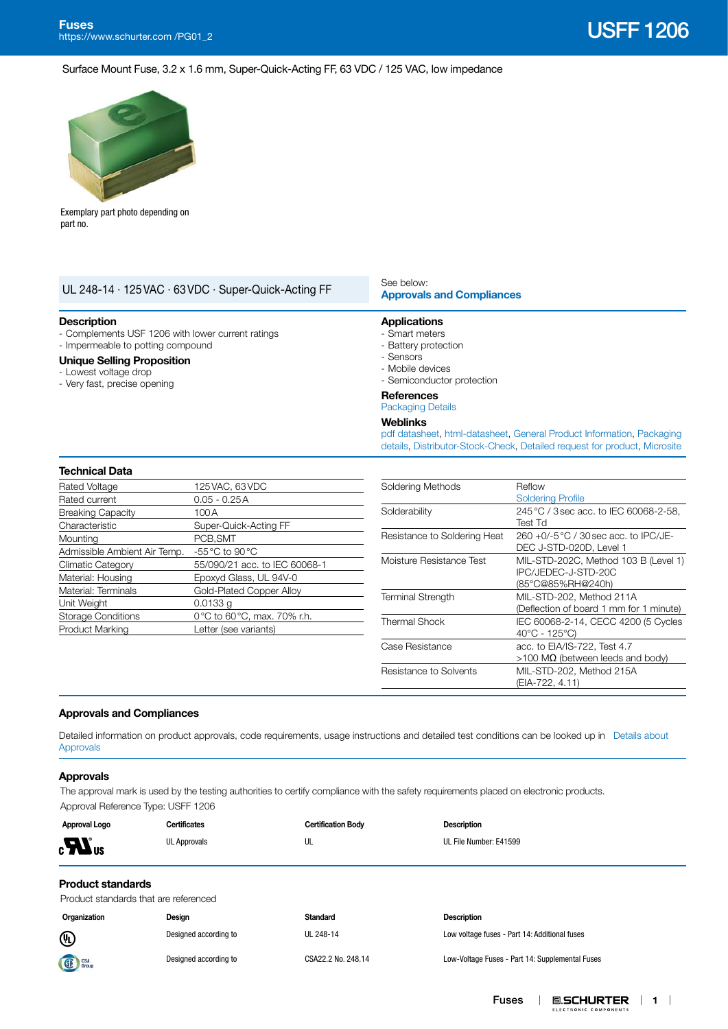**0.SCHURTER** | 1 |

ELECTRONIC COMPONENT

DEC J-STD-020D, Level 1

IPC/JEDEC-J-STD-20C (85°C@85%RH@240h)

(Deflection of board 1 mm for 1 minute)

>100 MΩ (between leeds and body)

Moisture Resistance Test MIL-STD-202C, Method 103 B (Level 1)

Thermal Shock IEC 60068-2-14, CECC 4200 (5 Cycles 40°C - 125°C)

(EIA-722, 4.11)

Terminal Strength MIL-STD-202, Method 211A

Case Resistance acc. to EIA/IS-722, Test 4.7

Resistance to Solvents MIL-STD-202, Method 215A

Fuses

 $\mathbf{I}$ 

Surface Mount Fuse, 3.2 x 1.6 mm, Super-Quick-Acting FF, 63 VDC / 125 VAC, low impedance



Exemplary part photo depending on part no.

| UL 248-14 · 125 VAC · 63 VDC · Super-Quick-Acting FF                                                                                                  |                                                   | See below:<br><b>Approvals and Compliances</b>                                                                                                                        |                                        |  |  |  |  |
|-------------------------------------------------------------------------------------------------------------------------------------------------------|---------------------------------------------------|-----------------------------------------------------------------------------------------------------------------------------------------------------------------------|----------------------------------------|--|--|--|--|
| <b>Description</b><br>- Impermeable to potting compound<br><b>Unique Selling Proposition</b><br>- Lowest voltage drop<br>- Very fast, precise opening | - Complements USF 1206 with lower current ratings | <b>Applications</b><br>- Smart meters<br>- Battery protection<br>- Sensors<br>- Mobile devices<br>- Semiconductor protection                                          |                                        |  |  |  |  |
|                                                                                                                                                       |                                                   | <b>References</b><br><b>Packaging Details</b>                                                                                                                         |                                        |  |  |  |  |
|                                                                                                                                                       |                                                   | <b>Weblinks</b><br>pdf datasheet, html-datasheet, General Product Information, Packaging<br>details, Distributor-Stock-Check, Detailed request for product, Microsite |                                        |  |  |  |  |
| <b>Technical Data</b>                                                                                                                                 |                                                   |                                                                                                                                                                       |                                        |  |  |  |  |
| Rated Voltage                                                                                                                                         | 125 VAC, 63 VDC                                   | Soldering Methods                                                                                                                                                     | Reflow                                 |  |  |  |  |
| Rated current                                                                                                                                         | $0.05 - 0.25A$                                    |                                                                                                                                                                       | <b>Soldering Profile</b>               |  |  |  |  |
| <b>Breaking Capacity</b>                                                                                                                              | 100A                                              | Solderability                                                                                                                                                         | 245 °C / 3 sec acc. to IEC 60068-2-58, |  |  |  |  |
| Characteristic                                                                                                                                        | Super-Quick-Acting FF                             |                                                                                                                                                                       | Test Td                                |  |  |  |  |
| Mountina                                                                                                                                              | PCB.SMT                                           | Resistance to Soldering Heat                                                                                                                                          | 260 +0/-5 °C / 30 sec acc. to IPC/JE-  |  |  |  |  |

<span id="page-0-0"></span>

|  | <b>Approvals and Compliances</b> |
|--|----------------------------------|

Mounting PCB, SMT Admissible Ambient Air Temp. -55°C to 90°C

Unit Weight 0.0133 g

Climatic Category 55/090/21 acc. to IEC 60068-1 Material: Housing Epoxyd Glass, UL 94V-0 Material: Terminals Gold-Plated Copper Alloy

Storage Conditions 0°C to 60°C, max. 70% r.h. Product Marking Letter (see variants)

Detailed information on product approvals, code requirements, usage instructions and detailed test conditions can be looked up in [Details about](https://www.schurter.com/en/Components/Connectors/General-Product-Information#1.1)  [Approvals](https://www.schurter.com/en/Components/Connectors/General-Product-Information#1.1)

### **Approvals**

The approval mark is used by the testing authorities to certify compliance with the safety requirements placed on electronic products. Approval Reference Type: USFF 1206

| Approval Logo                  | <b>Certificates</b>                   | <b>Certification Body</b> | <b>Description</b>     |  |
|--------------------------------|---------------------------------------|---------------------------|------------------------|--|
| $\boldsymbol{H}$ <sub>us</sub> | <b>UL Approvals</b>                   | UL                        | UL File Number: E41599 |  |
| <b>Product standards</b>       |                                       |                           |                        |  |
|                                | Product standards that are referenced |                           |                        |  |
| Organization                   | Design                                | <b>Standard</b>           | <b>Description</b>     |  |

Designed according to UL 248-14 Low voltage fuses - Part 14: Additional fuses

Designed according to CSA22.2 No. 248.14 Low-Voltage Fuses - Part 14: Supplemental Fuses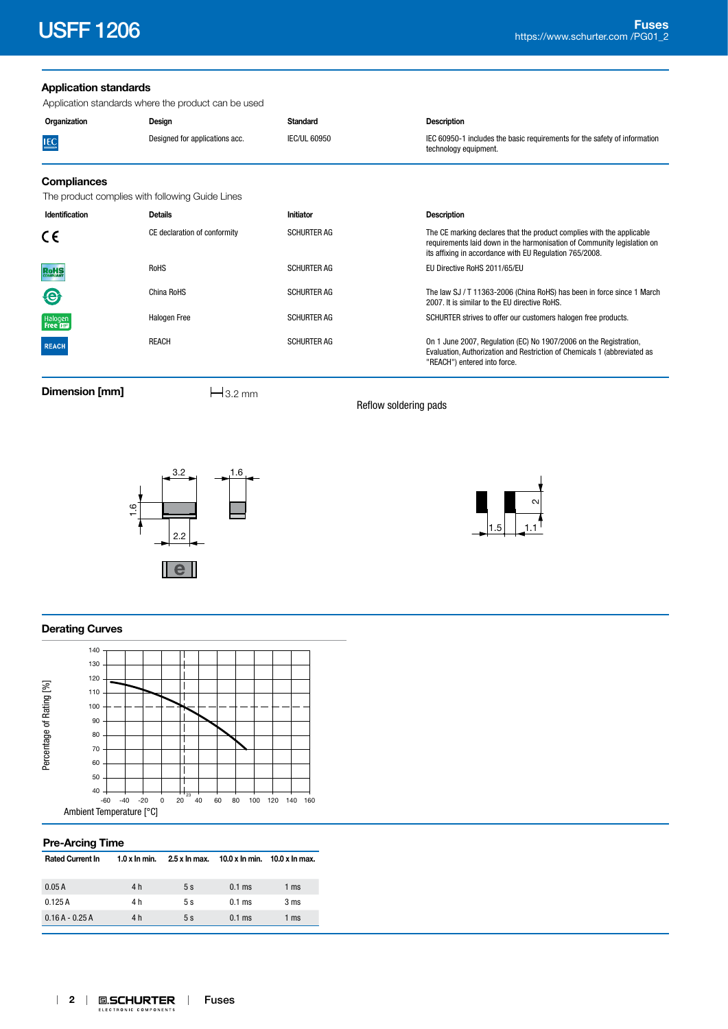# **Application standards**

Application standards where the product can be used

| Organization                                    | Design                         | <b>Standard</b>     | <b>Description</b>                                                                                                                                                                                          |
|-------------------------------------------------|--------------------------------|---------------------|-------------------------------------------------------------------------------------------------------------------------------------------------------------------------------------------------------------|
| <b>IEC</b>                                      | Designed for applications acc. | <b>IEC/UL 60950</b> | IEC 60950-1 includes the basic requirements for the safety of information<br>technology equipment.                                                                                                          |
| <b>Compliances</b>                              |                                |                     |                                                                                                                                                                                                             |
| The product complies with following Guide Lines |                                |                     |                                                                                                                                                                                                             |
| Identification                                  | <b>Details</b>                 | Initiator           | <b>Description</b>                                                                                                                                                                                          |
| CE                                              | CE declaration of conformity   | <b>SCHURTER AG</b>  | The CE marking declares that the product complies with the applicable<br>requirements laid down in the harmonisation of Community legislation on<br>its affixing in accordance with EU Regulation 765/2008. |
| <b>RoHS</b>                                     | <b>RoHS</b>                    | <b>SCHURTER AG</b>  | EU Directive RoHS 2011/65/EU                                                                                                                                                                                |
| $\bigcirc$                                      | China RoHS                     | <b>SCHURTER AG</b>  | The law SJ / T 11363-2006 (China RoHS) has been in force since 1 March<br>2007. It is similar to the EU directive RoHS.                                                                                     |
| Halogen<br>Free                                 | Halogen Free                   | <b>SCHURTER AG</b>  | SCHURTER strives to offer our customers halogen free products.                                                                                                                                              |
| <b>REACH</b>                                    | <b>REACH</b>                   | <b>SCHURTER AG</b>  | On 1 June 2007, Regulation (EC) No 1907/2006 on the Registration,<br>Evaluation, Authorization and Restriction of Chemicals 1 (abbreviated as<br>"REACH") entered into force.                               |

**Dimension [mm]**  $\qquad \qquad \qquad \frac{1}{3.2 \text{ mm}}$ 

Reflow soldering pads





# **Derating Curves**



## **Pre-Arcing Time**

| <b>Rated Current In</b> | $1.0 x$ In min. | 2.5 x ln max. | 10.0 x ln min.  10.0 x ln max. |        |
|-------------------------|-----------------|---------------|--------------------------------|--------|
| 0.05A                   | 4 h             | 5s            | $0.1$ ms                       | 1 ms   |
| 0.125A                  | 4 h             | 5s            | $0.1$ ms                       | 3 ms   |
| $0.16A - 0.25A$         | 4 h             | 5s            | $0.1$ ms                       | 1 $ms$ |